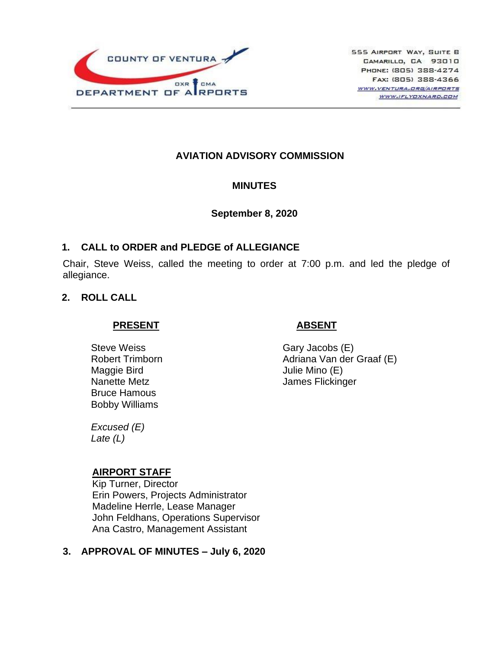

# **AVIATION ADVISORY COMMISSION**

### **MINUTES**

### **September 8, 2020**

## **1. CALL to ORDER and PLEDGE of ALLEGIANCE**

Chair, Steve Weiss, called the meeting to order at 7:00 p.m. and led the pledge of allegiance.

## **2. ROLL CALL**

### **PRESENT**

Steve Weiss Robert Trimborn Maggie Bird Nanette Metz Bruce Hamous Bobby Williams

# **ABSENT**

Gary Jacobs (E) Adriana Van der Graaf (E) Julie Mino (E) James Flickinger

*Excused (E) Late (L)*

### **AIRPORT STAFF**

Kip Turner, Director Erin Powers, Projects Administrator Madeline Herrle, Lease Manager John Feldhans, Operations Supervisor Ana Castro, Management Assistant

# **3. APPROVAL OF MINUTES – July 6, 2020**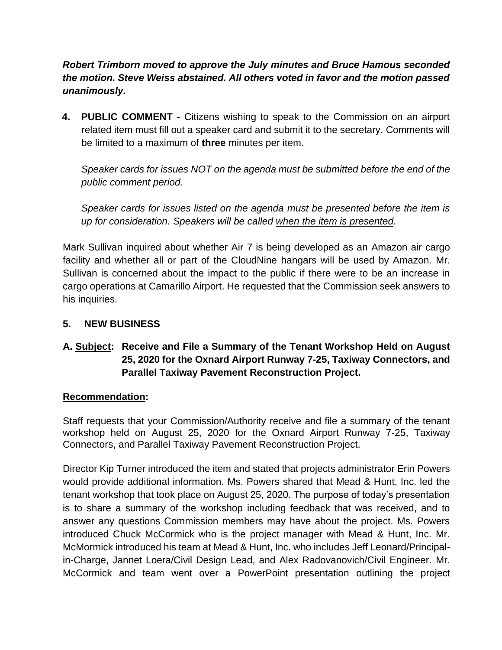*Robert Trimborn moved to approve the July minutes and Bruce Hamous seconded the motion. Steve Weiss abstained. All others voted in favor and the motion passed unanimously.*

**4. PUBLIC COMMENT -** Citizens wishing to speak to the Commission on an airport related item must fill out a speaker card and submit it to the secretary. Comments will be limited to a maximum of **three** minutes per item.

*Speaker cards for issues NOT on the agenda must be submitted before the end of the public comment period.* 

*Speaker cards for issues listed on the agenda must be presented before the item is up for consideration. Speakers will be called when the item is presented.*

Mark Sullivan inquired about whether Air 7 is being developed as an Amazon air cargo facility and whether all or part of the CloudNine hangars will be used by Amazon. Mr. Sullivan is concerned about the impact to the public if there were to be an increase in cargo operations at Camarillo Airport. He requested that the Commission seek answers to his inquiries.

# **5. NEW BUSINESS**

# **A. Subject: Receive and File a Summary of the Tenant Workshop Held on August 25, 2020 for the Oxnard Airport Runway 7-25, Taxiway Connectors, and Parallel Taxiway Pavement Reconstruction Project.**

### **Recommendation:**

Staff requests that your Commission/Authority receive and file a summary of the tenant workshop held on August 25, 2020 for the Oxnard Airport Runway 7-25, Taxiway Connectors, and Parallel Taxiway Pavement Reconstruction Project.

Director Kip Turner introduced the item and stated that projects administrator Erin Powers would provide additional information. Ms. Powers shared that Mead & Hunt, Inc. led the tenant workshop that took place on August 25, 2020. The purpose of today's presentation is to share a summary of the workshop including feedback that was received, and to answer any questions Commission members may have about the project. Ms. Powers introduced Chuck McCormick who is the project manager with Mead & Hunt, Inc. Mr. McMormick introduced his team at Mead & Hunt, Inc. who includes Jeff Leonard/Principalin-Charge, Jannet Loera/Civil Design Lead, and Alex Radovanovich/Civil Engineer. Mr. McCormick and team went over a PowerPoint presentation outlining the project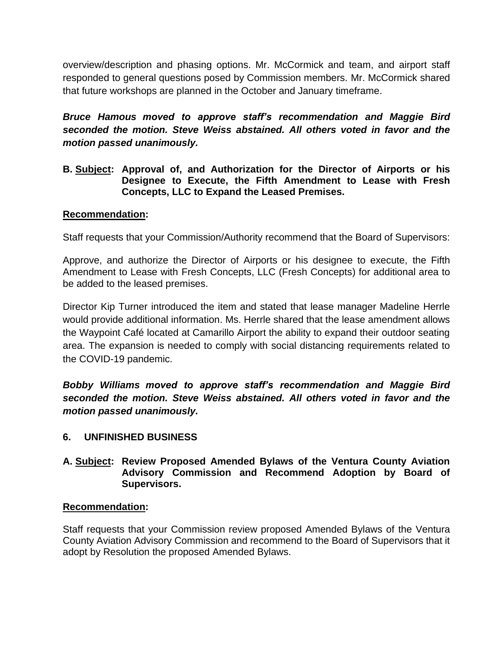overview/description and phasing options. Mr. McCormick and team, and airport staff responded to general questions posed by Commission members. Mr. McCormick shared that future workshops are planned in the October and January timeframe.

*Bruce Hamous moved to approve staff's recommendation and Maggie Bird seconded the motion. Steve Weiss abstained. All others voted in favor and the motion passed unanimously.*

**B. Subject: Approval of, and Authorization for the Director of Airports or his Designee to Execute, the Fifth Amendment to Lease with Fresh Concepts, LLC to Expand the Leased Premises.**

## **Recommendation:**

Staff requests that your Commission/Authority recommend that the Board of Supervisors:

Approve, and authorize the Director of Airports or his designee to execute, the Fifth Amendment to Lease with Fresh Concepts, LLC (Fresh Concepts) for additional area to be added to the leased premises.

Director Kip Turner introduced the item and stated that lease manager Madeline Herrle would provide additional information. Ms. Herrle shared that the lease amendment allows the Waypoint Café located at Camarillo Airport the ability to expand their outdoor seating area. The expansion is needed to comply with social distancing requirements related to the COVID-19 pandemic.

*Bobby Williams moved to approve staff's recommendation and Maggie Bird seconded the motion. Steve Weiss abstained. All others voted in favor and the motion passed unanimously.*

# **6. UNFINISHED BUSINESS**

## **A. Subject: Review Proposed Amended Bylaws of the Ventura County Aviation Advisory Commission and Recommend Adoption by Board of Supervisors.**

### **Recommendation:**

Staff requests that your Commission review proposed Amended Bylaws of the Ventura County Aviation Advisory Commission and recommend to the Board of Supervisors that it adopt by Resolution the proposed Amended Bylaws.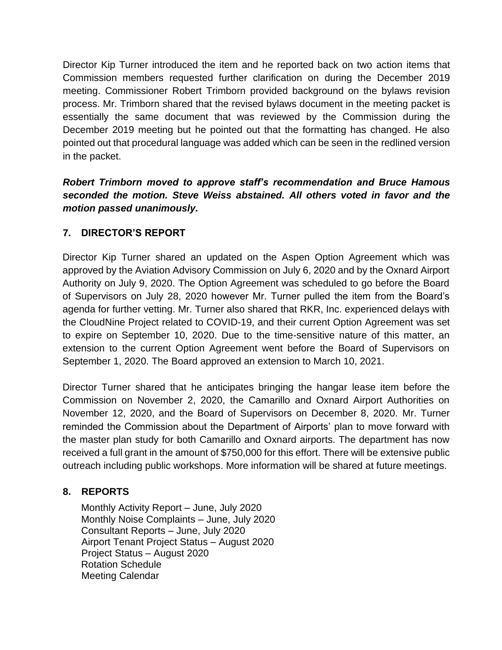Director Kip Turner introduced the item and he reported back on two action items that Commission members requested further clarification on during the December 2019 meeting. Commissioner Robert Trimborn provided background on the bylaws revision process. Mr. Trimborn shared that the revised bylaws document in the meeting packet is essentially the same document that was reviewed by the Commission during the December 2019 meeting but he pointed out that the formatting has changed. He also pointed out that procedural language was added which can be seen in the redlined version in the packet.

# *Robert Trimborn moved to approve staff's recommendation and Bruce Hamous seconded the motion. Steve Weiss abstained. All others voted in favor and the motion passed unanimously.*

# **7. DIRECTOR'S REPORT**

Director Kip Turner shared an updated on the Aspen Option Agreement which was approved by the Aviation Advisory Commission on July 6, 2020 and by the Oxnard Airport Authority on July 9, 2020. The Option Agreement was scheduled to go before the Board of Supervisors on July 28, 2020 however Mr. Turner pulled the item from the Board's agenda for further vetting. Mr. Turner also shared that RKR, Inc. experienced delays with the CloudNine Project related to COVID-19, and their current Option Agreement was set to expire on September 10, 2020. Due to the time-sensitive nature of this matter, an extension to the current Option Agreement went before the Board of Supervisors on September 1, 2020. The Board approved an extension to March 10, 2021.

Director Turner shared that he anticipates bringing the hangar lease item before the Commission on November 2, 2020, the Camarillo and Oxnard Airport Authorities on November 12, 2020, and the Board of Supervisors on December 8, 2020. Mr. Turner reminded the Commission about the Department of Airports' plan to move forward with the master plan study for both Camarillo and Oxnard airports. The department has now received a full grant in the amount of \$750,000 for this effort. There will be extensive public outreach including public workshops. More information will be shared at future meetings.

# **8. REPORTS**

Monthly Activity Report – June, July 2020 Monthly Noise Complaints – June, July 2020 Consultant Reports – June, July 2020 Airport Tenant Project Status – August 2020 Project Status – August 2020 Rotation Schedule Meeting Calendar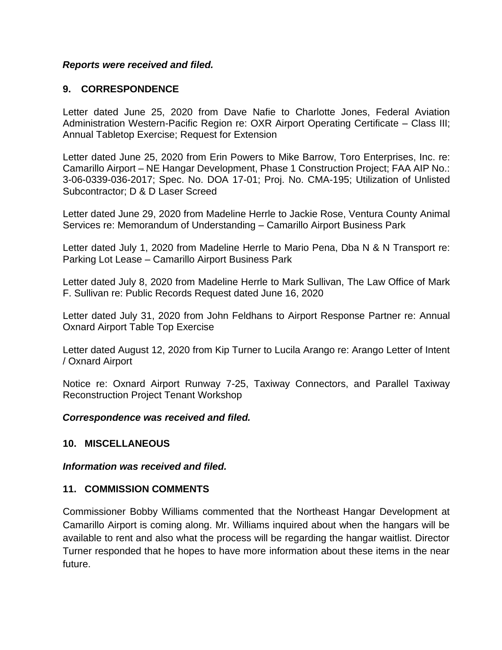### *Reports were received and filed.*

## **9. CORRESPONDENCE**

Letter dated June 25, 2020 from Dave Nafie to Charlotte Jones, Federal Aviation Administration Western-Pacific Region re: OXR Airport Operating Certificate – Class III; Annual Tabletop Exercise; Request for Extension

Letter dated June 25, 2020 from Erin Powers to Mike Barrow, Toro Enterprises, Inc. re: Camarillo Airport – NE Hangar Development, Phase 1 Construction Project; FAA AIP No.: 3-06-0339-036-2017; Spec. No. DOA 17-01; Proj. No. CMA-195; Utilization of Unlisted Subcontractor; D & D Laser Screed

Letter dated June 29, 2020 from Madeline Herrle to Jackie Rose, Ventura County Animal Services re: Memorandum of Understanding – Camarillo Airport Business Park

Letter dated July 1, 2020 from Madeline Herrle to Mario Pena, Dba N & N Transport re: Parking Lot Lease – Camarillo Airport Business Park

Letter dated July 8, 2020 from Madeline Herrle to Mark Sullivan, The Law Office of Mark F. Sullivan re: Public Records Request dated June 16, 2020

Letter dated July 31, 2020 from John Feldhans to Airport Response Partner re: Annual Oxnard Airport Table Top Exercise

Letter dated August 12, 2020 from Kip Turner to Lucila Arango re: Arango Letter of Intent / Oxnard Airport

Notice re: Oxnard Airport Runway 7-25, Taxiway Connectors, and Parallel Taxiway Reconstruction Project Tenant Workshop

#### *Correspondence was received and filed.*

### **10. MISCELLANEOUS**

*Information was received and filed.*

### **11. COMMISSION COMMENTS**

Commissioner Bobby Williams commented that the Northeast Hangar Development at Camarillo Airport is coming along. Mr. Williams inquired about when the hangars will be available to rent and also what the process will be regarding the hangar waitlist. Director Turner responded that he hopes to have more information about these items in the near future.